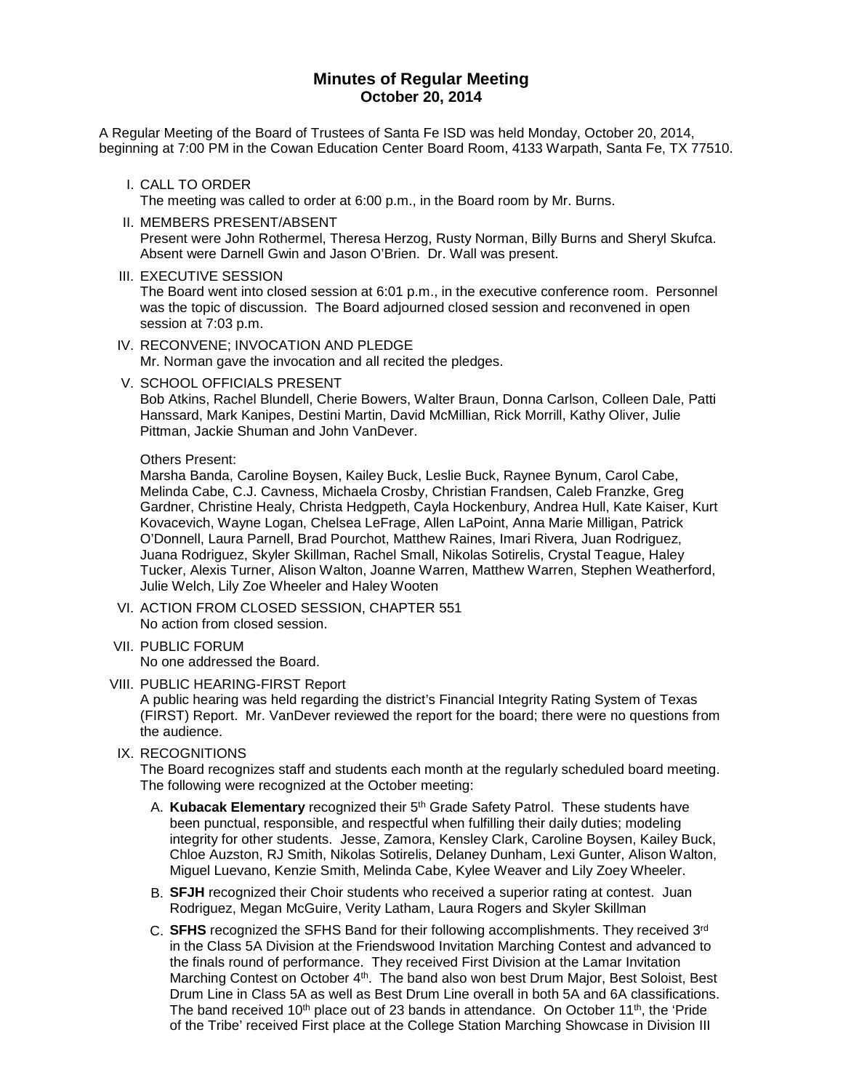# **Minutes of Regular Meeting October 20, 2014**

A Regular Meeting of the Board of Trustees of Santa Fe ISD was held Monday, October 20, 2014, beginning at 7:00 PM in the Cowan Education Center Board Room, 4133 Warpath, Santa Fe, TX 77510.

I. CALL TO ORDER

The meeting was called to order at 6:00 p.m., in the Board room by Mr. Burns.

- II. MEMBERS PRESENT/ABSENT Present were John Rothermel, Theresa Herzog, Rusty Norman, Billy Burns and Sheryl Skufca. Absent were Darnell Gwin and Jason O'Brien. Dr. Wall was present.
- III. EXECUTIVE SESSION

The Board went into closed session at 6:01 p.m., in the executive conference room. Personnel was the topic of discussion. The Board adjourned closed session and reconvened in open session at 7:03 p.m.

IV. RECONVENE; INVOCATION AND PLEDGE

Mr. Norman gave the invocation and all recited the pledges.

V. SCHOOL OFFICIALS PRESENT

Bob Atkins, Rachel Blundell, Cherie Bowers, Walter Braun, Donna Carlson, Colleen Dale, Patti Hanssard, Mark Kanipes, Destini Martin, David McMillian, Rick Morrill, Kathy Oliver, Julie Pittman, Jackie Shuman and John VanDever.

#### Others Present:

Marsha Banda, Caroline Boysen, Kailey Buck, Leslie Buck, Raynee Bynum, Carol Cabe, Melinda Cabe, C.J. Cavness, Michaela Crosby, Christian Frandsen, Caleb Franzke, Greg Gardner, Christine Healy, Christa Hedgpeth, Cayla Hockenbury, Andrea Hull, Kate Kaiser, Kurt Kovacevich, Wayne Logan, Chelsea LeFrage, Allen LaPoint, Anna Marie Milligan, Patrick O'Donnell, Laura Parnell, Brad Pourchot, Matthew Raines, Imari Rivera, Juan Rodriguez, Juana Rodriguez, Skyler Skillman, Rachel Small, Nikolas Sotirelis, Crystal Teague, Haley Tucker, Alexis Turner, Alison Walton, Joanne Warren, Matthew Warren, Stephen Weatherford, Julie Welch, Lily Zoe Wheeler and Haley Wooten

- VI. ACTION FROM CLOSED SESSION, CHAPTER 551 No action from closed session.
- VII. PUBLIC FORUM No one addressed the Board.
- VIII. PUBLIC HEARING-FIRST Report

A public hearing was held regarding the district's Financial Integrity Rating System of Texas (FIRST) Report. Mr. VanDever reviewed the report for the board; there were no questions from the audience.

IX. RECOGNITIONS

The Board recognizes staff and students each month at the regularly scheduled board meeting. The following were recognized at the October meeting:

- A. **Kubacak Elementary** recognized their 5th Grade Safety Patrol. These students have been punctual, responsible, and respectful when fulfilling their daily duties; modeling integrity for other students. Jesse, Zamora, Kensley Clark, Caroline Boysen, Kailey Buck, Chloe Auzston, RJ Smith, Nikolas Sotirelis, Delaney Dunham, Lexi Gunter, Alison Walton, Miguel Luevano, Kenzie Smith, Melinda Cabe, Kylee Weaver and Lily Zoey Wheeler.
- B. **SFJH** recognized their Choir students who received a superior rating at contest. Juan Rodriguez, Megan McGuire, Verity Latham, Laura Rogers and Skyler Skillman
- C. **SFHS** recognized the SFHS Band for their following accomplishments. They received 3rd in the Class 5A Division at the Friendswood Invitation Marching Contest and advanced to the finals round of performance. They received First Division at the Lamar Invitation Marching Contest on October 4<sup>th</sup>. The band also won best Drum Major, Best Soloist, Best Drum Line in Class 5A as well as Best Drum Line overall in both 5A and 6A classifications. The band received 10<sup>th</sup> place out of 23 bands in attendance. On October 11<sup>th</sup>, the 'Pride of the Tribe' received First place at the College Station Marching Showcase in Division III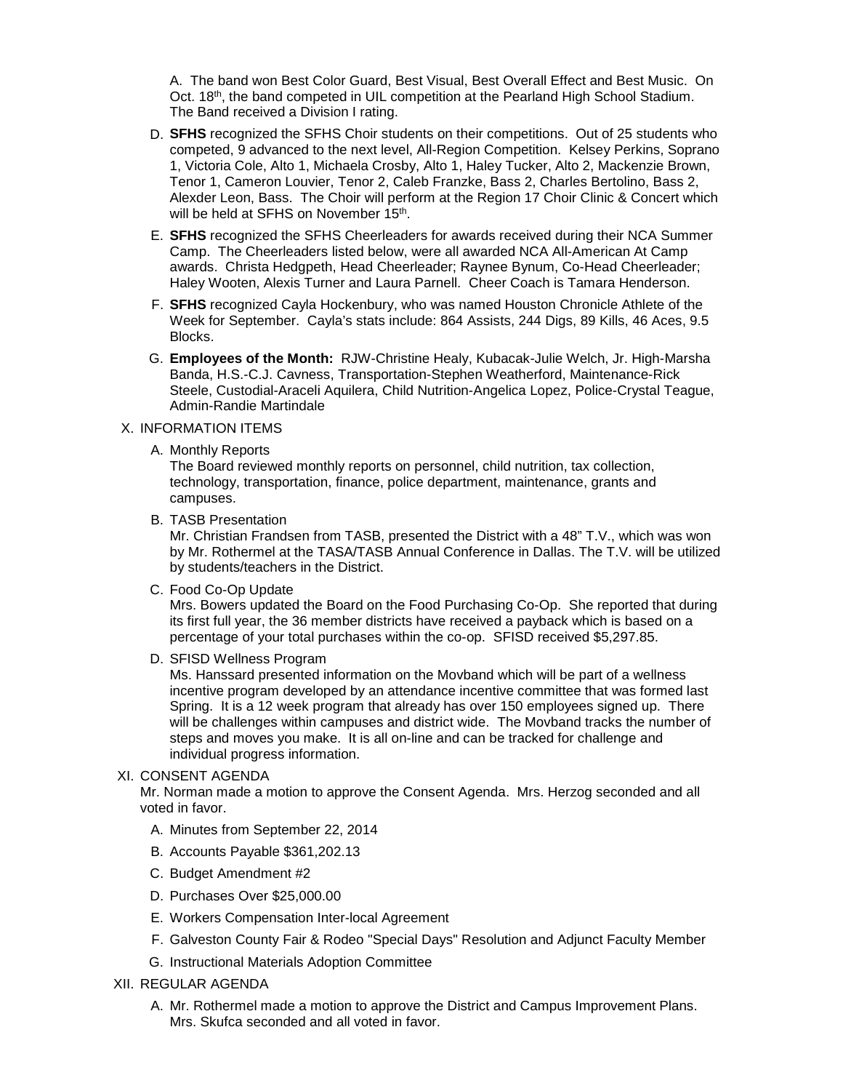A. The band won Best Color Guard, Best Visual, Best Overall Effect and Best Music. On Oct. 18<sup>th</sup>, the band competed in UIL competition at the Pearland High School Stadium. The Band received a Division I rating.

- D. **SFHS** recognized the SFHS Choir students on their competitions. Out of 25 students who competed, 9 advanced to the next level, All-Region Competition. Kelsey Perkins, Soprano 1, Victoria Cole, Alto 1, Michaela Crosby, Alto 1, Haley Tucker, Alto 2, Mackenzie Brown, Tenor 1, Cameron Louvier, Tenor 2, Caleb Franzke, Bass 2, Charles Bertolino, Bass 2, Alexder Leon, Bass. The Choir will perform at the Region 17 Choir Clinic & Concert which will be held at SFHS on November 15<sup>th</sup>.
- E. **SFHS** recognized the SFHS Cheerleaders for awards received during their NCA Summer Camp. The Cheerleaders listed below, were all awarded NCA All-American At Camp awards. Christa Hedgpeth, Head Cheerleader; Raynee Bynum, Co-Head Cheerleader; Haley Wooten, Alexis Turner and Laura Parnell. Cheer Coach is Tamara Henderson.
- F. **SFHS** recognized Cayla Hockenbury, who was named Houston Chronicle Athlete of the Week for September. Cayla's stats include: 864 Assists, 244 Digs, 89 Kills, 46 Aces, 9.5 Blocks.
- G. **Employees of the Month:** RJW-Christine Healy, Kubacak-Julie Welch, Jr. High-Marsha Banda, H.S.-C.J. Cavness, Transportation-Stephen Weatherford, Maintenance-Rick Steele, Custodial-Araceli Aquilera, Child Nutrition-Angelica Lopez, Police-Crystal Teague, Admin-Randie Martindale

## X. INFORMATION ITEMS

A. Monthly Reports

The Board reviewed monthly reports on personnel, child nutrition, tax collection, technology, transportation, finance, police department, maintenance, grants and campuses.

B. TASB Presentation

Mr. Christian Frandsen from TASB, presented the District with a 48" T.V., which was won by Mr. Rothermel at the TASA/TASB Annual Conference in Dallas. The T.V. will be utilized by students/teachers in the District.

C. Food Co-Op Update

Mrs. Bowers updated the Board on the Food Purchasing Co-Op. She reported that during its first full year, the 36 member districts have received a payback which is based on a percentage of your total purchases within the co-op. SFISD received \$5,297.85.

D. SFISD Wellness Program

Ms. Hanssard presented information on the Movband which will be part of a wellness incentive program developed by an attendance incentive committee that was formed last Spring. It is a 12 week program that already has over 150 employees signed up. There will be challenges within campuses and district wide. The Movband tracks the number of steps and moves you make. It is all on-line and can be tracked for challenge and individual progress information.

# XI. CONSENT AGENDA

Mr. Norman made a motion to approve the Consent Agenda. Mrs. Herzog seconded and all voted in favor.

- A. Minutes from September 22, 2014
- B. Accounts Payable \$361,202.13
- C. Budget Amendment #2
- D. Purchases Over \$25,000.00
- E. Workers Compensation Inter-local Agreement
- F. Galveston County Fair & Rodeo "Special Days" Resolution and Adjunct Faculty Member
- G. Instructional Materials Adoption Committee
- XII. REGULAR AGENDA
	- A. Mr. Rothermel made a motion to approve the District and Campus Improvement Plans. Mrs. Skufca seconded and all voted in favor.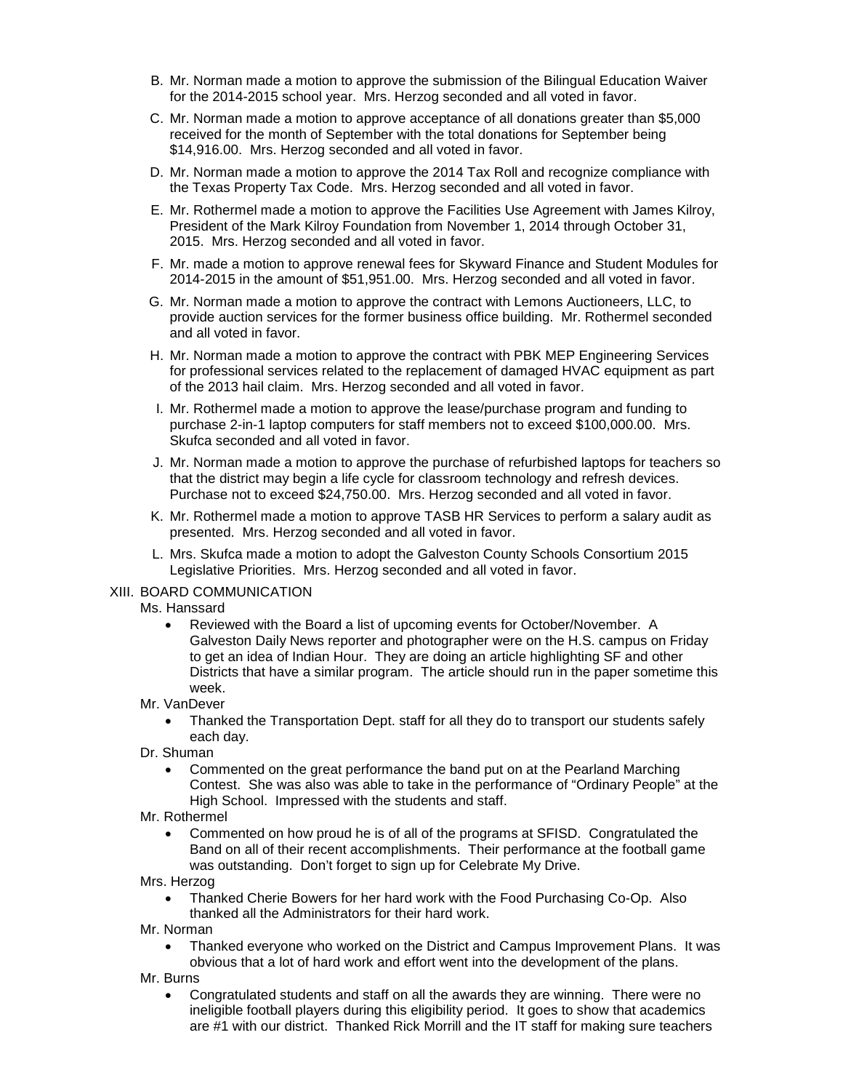- B. Mr. Norman made a motion to approve the submission of the Bilingual Education Waiver for the 2014-2015 school year. Mrs. Herzog seconded and all voted in favor.
- C. Mr. Norman made a motion to approve acceptance of all donations greater than \$5,000 received for the month of September with the total donations for September being \$14,916.00. Mrs. Herzog seconded and all voted in favor.
- D. Mr. Norman made a motion to approve the 2014 Tax Roll and recognize compliance with the Texas Property Tax Code. Mrs. Herzog seconded and all voted in favor.
- E. Mr. Rothermel made a motion to approve the Facilities Use Agreement with James Kilroy, President of the Mark Kilroy Foundation from November 1, 2014 through October 31, 2015. Mrs. Herzog seconded and all voted in favor.
- F. Mr. made a motion to approve renewal fees for Skyward Finance and Student Modules for 2014-2015 in the amount of \$51,951.00. Mrs. Herzog seconded and all voted in favor.
- G. Mr. Norman made a motion to approve the contract with Lemons Auctioneers, LLC, to provide auction services for the former business office building. Mr. Rothermel seconded and all voted in favor.
- H. Mr. Norman made a motion to approve the contract with PBK MEP Engineering Services for professional services related to the replacement of damaged HVAC equipment as part of the 2013 hail claim. Mrs. Herzog seconded and all voted in favor.
- I. Mr. Rothermel made a motion to approve the lease/purchase program and funding to purchase 2-in-1 laptop computers for staff members not to exceed \$100,000.00. Mrs. Skufca seconded and all voted in favor.
- J. Mr. Norman made a motion to approve the purchase of refurbished laptops for teachers so that the district may begin a life cycle for classroom technology and refresh devices. Purchase not to exceed \$24,750.00. Mrs. Herzog seconded and all voted in favor.
- K. Mr. Rothermel made a motion to approve TASB HR Services to perform a salary audit as presented. Mrs. Herzog seconded and all voted in favor.
- L. Mrs. Skufca made a motion to adopt the Galveston County Schools Consortium 2015 Legislative Priorities. Mrs. Herzog seconded and all voted in favor.

### XIII. BOARD COMMUNICATION

#### Ms. Hanssard

• Reviewed with the Board a list of upcoming events for October/November. A Galveston Daily News reporter and photographer were on the H.S. campus on Friday to get an idea of Indian Hour. They are doing an article highlighting SF and other Districts that have a similar program. The article should run in the paper sometime this week.

### Mr. VanDever

- Thanked the Transportation Dept. staff for all they do to transport our students safely each day.
- Dr. Shuman
	- Commented on the great performance the band put on at the Pearland Marching Contest. She was also was able to take in the performance of "Ordinary People" at the High School. Impressed with the students and staff.
- Mr. Rothermel
	- Commented on how proud he is of all of the programs at SFISD. Congratulated the Band on all of their recent accomplishments. Their performance at the football game was outstanding. Don't forget to sign up for Celebrate My Drive.
- Mrs. Herzog
	- Thanked Cherie Bowers for her hard work with the Food Purchasing Co-Op. Also thanked all the Administrators for their hard work.
- Mr. Norman
	- Thanked everyone who worked on the District and Campus Improvement Plans. It was obvious that a lot of hard work and effort went into the development of the plans.
- Mr. Burns
	- Congratulated students and staff on all the awards they are winning. There were no ineligible football players during this eligibility period. It goes to show that academics are #1 with our district. Thanked Rick Morrill and the IT staff for making sure teachers